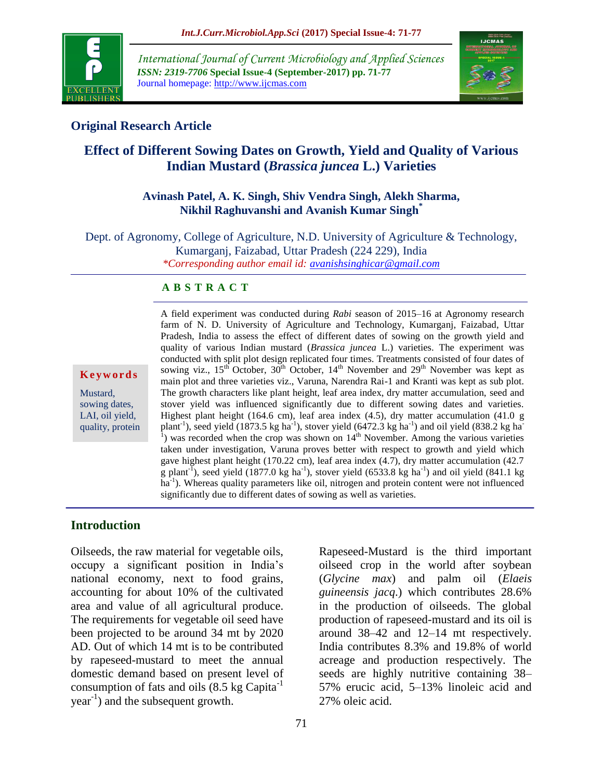

*International Journal of Current Microbiology and Applied Sciences ISSN: 2319-7706* **Special Issue-4 (September-2017) pp. 71-77** Journal homepage: http://www.ijcmas.com



### **Original Research Article**

# **Effect of Different Sowing Dates on Growth, Yield and Quality of Various Indian Mustard (***Brassica juncea* **L.) Varieties**

#### **Avinash Patel, A. K. Singh, Shiv Vendra Singh, Alekh Sharma, Nikhil Raghuvanshi and Avanish Kumar Singh\***

Dept. of Agronomy, College of Agriculture, N.D. University of Agriculture & Technology, Kumarganj, Faizabad, Uttar Pradesh (224 229), India *\*Corresponding author email id: [avanishsinghicar@gmail.com](mailto:avanishsinghicar@gmail.com)*

#### **A B S T R A C T**

**K e y w o r d s**

Mustard, sowing dates, LAI, oil yield, quality, protein A field experiment was conducted during *Rabi* season of 2015–16 at Agronomy research farm of N. D. University of Agriculture and Technology, Kumarganj, Faizabad, Uttar Pradesh, India to assess the effect of different dates of sowing on the growth yield and quality of various Indian mustard (*Brassica juncea* L.) varieties. The experiment was conducted with split plot design replicated four times. Treatments consisted of four dates of sowing viz.,  $15^{th}$  October,  $30^{th}$  October,  $14^{th}$  November and  $29^{th}$  November was kept as main plot and three varieties viz., Varuna, Narendra Rai-1 and Kranti was kept as sub plot. The growth characters like plant height, leaf area index, dry matter accumulation, seed and stover yield was influenced significantly due to different sowing dates and varieties. Highest plant height (164.6 cm), leaf area index (4.5), dry matter accumulation (41.0 g plant<sup>-1</sup>), seed yield (1873.5 kg ha<sup>-1</sup>), stover yield (6472.3 kg ha<sup>-1</sup>) and oil yield (838.2 kg ha<sup>-1</sup>) <sup>1</sup>) was recorded when the crop was shown on  $14<sup>th</sup>$  November. Among the various varieties taken under investigation, Varuna proves better with respect to growth and yield which gave highest plant height (170.22 cm), leaf area index (4.7), dry matter accumulation (42.7 g plant<sup>-I</sup>), seed yield (1877.0 kg ha<sup>-1</sup>), stover yield (6533.8 kg ha<sup>-1</sup>) and oil yield (841.1 kg ha<sup>-1</sup>). Whereas quality parameters like oil, nitrogen and protein content were not influenced significantly due to different dates of sowing as well as varieties.

#### **Introduction**

Oilseeds, the raw material for vegetable oils, occupy a significant position in India's national economy, next to food grains, accounting for about 10% of the cultivated area and value of all agricultural produce. The requirements for vegetable oil seed have been projected to be around 34 mt by 2020 AD. Out of which 14 mt is to be contributed by rapeseed-mustard to meet the annual domestic demand based on present level of consumption of fats and oils  $(8.5 \text{ kg Capita}^{-1})$  $year<sup>-1</sup>$ ) and the subsequent growth.

Rapeseed-Mustard is the third important oilseed crop in the world after soybean (*Glycine max*) and palm oil (*Elaeis guineensis jacq*.) which contributes 28.6% in the production of oilseeds. The global production of rapeseed-mustard and its oil is around 38–42 and 12–14 mt respectively. India contributes 8.3% and 19.8% of world acreage and production respectively. The seeds are highly nutritive containing 38– 57% erucic acid, 5–13% linoleic acid and 27% oleic acid.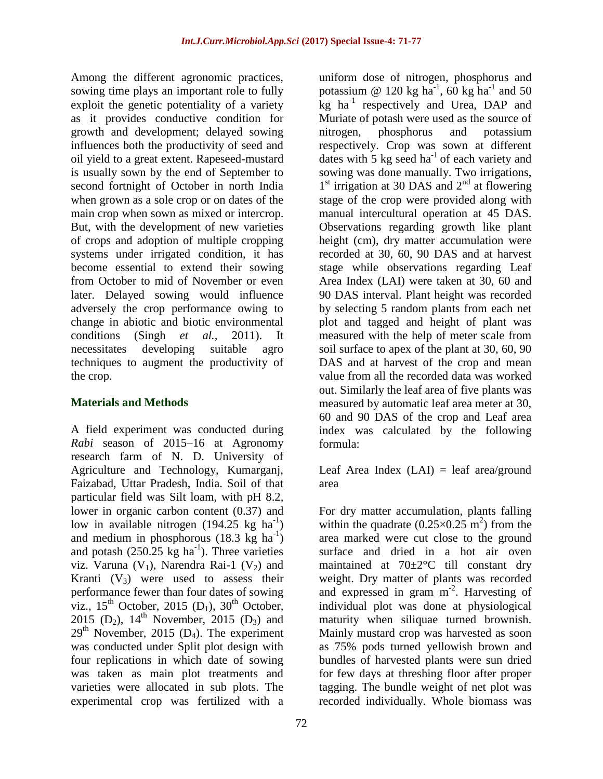Among the different agronomic practices, sowing time plays an important role to fully exploit the genetic potentiality of a variety as it provides conductive condition for growth and development; delayed sowing influences both the productivity of seed and oil yield to a great extent. Rapeseed-mustard is usually sown by the end of September to second fortnight of October in north India when grown as a sole crop or on dates of the main crop when sown as mixed or intercrop. But, with the development of new varieties of crops and adoption of multiple cropping systems under irrigated condition, it has become essential to extend their sowing from October to mid of November or even later. Delayed sowing would influence adversely the crop performance owing to change in abiotic and biotic environmental conditions (Singh *et al.,* 2011). It necessitates developing suitable agro techniques to augment the productivity of the crop.

#### **Materials and Methods**

A field experiment was conducted during *Rabi* season of 2015–16 at Agronomy research farm of N. D. University of Agriculture and Technology, Kumarganj, Faizabad, Uttar Pradesh, India. Soil of that particular field was Silt loam, with pH 8.2, lower in organic carbon content (0.37) and low in available nitrogen  $(194.25 \text{ kg} \text{ ha}^{-1})$ and medium in phosphorous  $(18.3 \text{ kg} \text{ ha}^{-1})$ and potash  $(250.25 \text{ kg ha}^{-1})$ . Three varieties viz. Varuna  $(V_1)$ , Narendra Rai-1  $(V_2)$  and Kranti  $(V_3)$  were used to assess their performance fewer than four dates of sowing viz.,  $15^{th}$  October, 2015 (D<sub>1</sub>),  $30^{th}$  October, 2015 (D<sub>2</sub>),  $14^{th}$  November, 2015 (D<sub>3</sub>) and  $29<sup>th</sup>$  November, 2015 (D<sub>4</sub>). The experiment was conducted under Split plot design with four replications in which date of sowing was taken as main plot treatments and varieties were allocated in sub plots. The experimental crop was fertilized with a

uniform dose of nitrogen, phosphorus and potassium @ 120 kg ha<sup>-1</sup>, 60 kg ha<sup>-1</sup> and 50 kg ha<sup>-1</sup> respectively and Urea, DAP and Muriate of potash were used as the source of nitrogen, phosphorus and potassium respectively. Crop was sown at different dates with 5 kg seed  $ha^{-1}$  of each variety and sowing was done manually. Two irrigations, 1<sup>st</sup> irrigation at 30 DAS and 2<sup>nd</sup> at flowering stage of the crop were provided along with manual intercultural operation at 45 DAS. Observations regarding growth like plant height (cm), dry matter accumulation were recorded at 30, 60, 90 DAS and at harvest stage while observations regarding Leaf Area Index (LAI) were taken at 30, 60 and 90 DAS interval. Plant height was recorded by selecting 5 random plants from each net plot and tagged and height of plant was measured with the help of meter scale from soil surface to apex of the plant at 30, 60, 90 DAS and at harvest of the crop and mean value from all the recorded data was worked out. Similarly the leaf area of five plants was measured by automatic leaf area meter at 30, 60 and 90 DAS of the crop and Leaf area index was calculated by the following formula:

Leaf Area Index  $(LAI) = leaf area/ground$ area

For dry matter accumulation, plants falling within the quadrate  $(0.25 \times 0.25 \text{ m}^2)$  from the area marked were cut close to the ground surface and dried in a hot air oven maintained at 70±2°C till constant dry weight. Dry matter of plants was recorded and expressed in gram m<sup>-2</sup>. Harvesting of individual plot was done at physiological maturity when siliquae turned brownish. Mainly mustard crop was harvested as soon as 75% pods turned yellowish brown and bundles of harvested plants were sun dried for few days at threshing floor after proper tagging. The bundle weight of net plot was recorded individually. Whole biomass was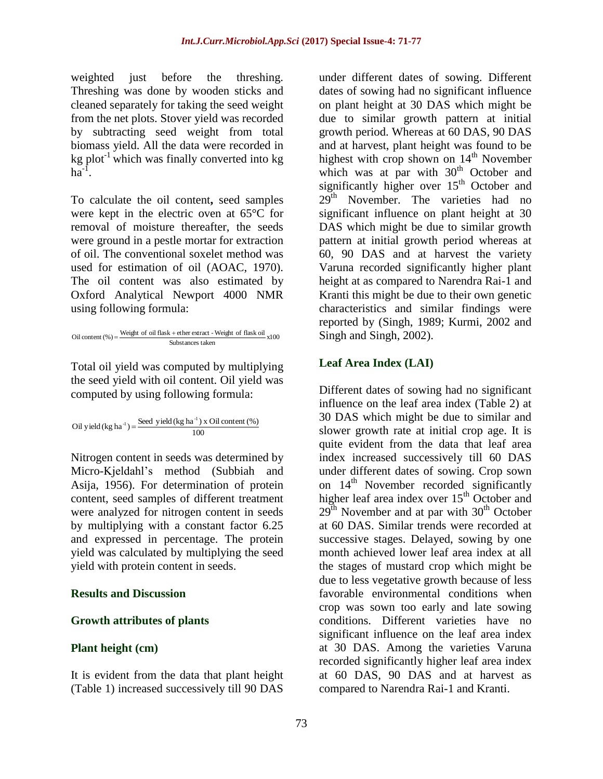weighted just before the threshing. Threshing was done by wooden sticks and cleaned separately for taking the seed weight from the net plots. Stover yield was recorded by subtracting seed weight from total biomass yield. All the data were recorded in kg plot<sup>-1</sup> which was finally converted into kg  $ha^{-1}$ .

To calculate the oil content**,** seed samples were kept in the electric oven at 65°C for removal of moisture thereafter, the seeds were ground in a pestle mortar for extraction of oil. The conventional soxelet method was used for estimation of oil (AOAC, 1970). The oil content was also estimated by Oxford Analytical Newport 4000 NMR using following formula:

Oil content (%) =  $\frac{\text{Weight of oil flask} + \text{ether extract - Weight of flask oil}}{84 \times 100}$  x100 Substances taken

Total oil yield was computed by multiplying the seed yield with oil content. Oil yield was computed by using following formula:

Oil yield (kg ha<sup>-1</sup>) =  $\frac{\text{Seed yield (kg ha}^{-1} \text{) x Oil content (\%)}}{100}$ 

Nitrogen content in seeds was determined by Micro-Kjeldahl's method (Subbiah and Asija, 1956). For determination of protein content, seed samples of different treatment were analyzed for nitrogen content in seeds by multiplying with a constant factor 6.25 and expressed in percentage. The protein yield was calculated by multiplying the seed yield with protein content in seeds.

#### **Results and Discussion**

#### **Growth attributes of plants**

#### **Plant height (cm)**

It is evident from the data that plant height (Table 1) increased successively till 90 DAS

under different dates of sowing. Different dates of sowing had no significant influence on plant height at 30 DAS which might be due to similar growth pattern at initial growth period. Whereas at 60 DAS, 90 DAS and at harvest, plant height was found to be highest with crop shown on  $14<sup>th</sup>$  November which was at par with  $30<sup>th</sup>$  October and significantly higher over  $15<sup>th</sup>$  October and  $29<sup>th</sup>$  November. The varieties had no significant influence on plant height at 30 DAS which might be due to similar growth pattern at initial growth period whereas at 60, 90 DAS and at harvest the variety Varuna recorded significantly higher plant height at as compared to Narendra Rai-1 and Kranti this might be due to their own genetic characteristics and similar findings were reported by (Singh, 1989; Kurmi, 2002 and Singh and Singh, 2002).

#### **Leaf Area Index (LAI)**

Different dates of sowing had no significant influence on the leaf area index (Table 2) at 30 DAS which might be due to similar and slower growth rate at initial crop age. It is quite evident from the data that leaf area index increased successively till 60 DAS under different dates of sowing. Crop sown on  $14<sup>th</sup>$  November recorded significantly higher leaf area index over  $15<sup>th</sup>$  October and  $29<sup>th</sup>$  November and at par with  $30<sup>th</sup>$  October at 60 DAS. Similar trends were recorded at successive stages. Delayed, sowing by one month achieved lower leaf area index at all the stages of mustard crop which might be due to less vegetative growth because of less favorable environmental conditions when crop was sown too early and late sowing conditions. Different varieties have no significant influence on the leaf area index at 30 DAS. Among the varieties Varuna recorded significantly higher leaf area index at 60 DAS, 90 DAS and at harvest as compared to Narendra Rai-1 and Kranti.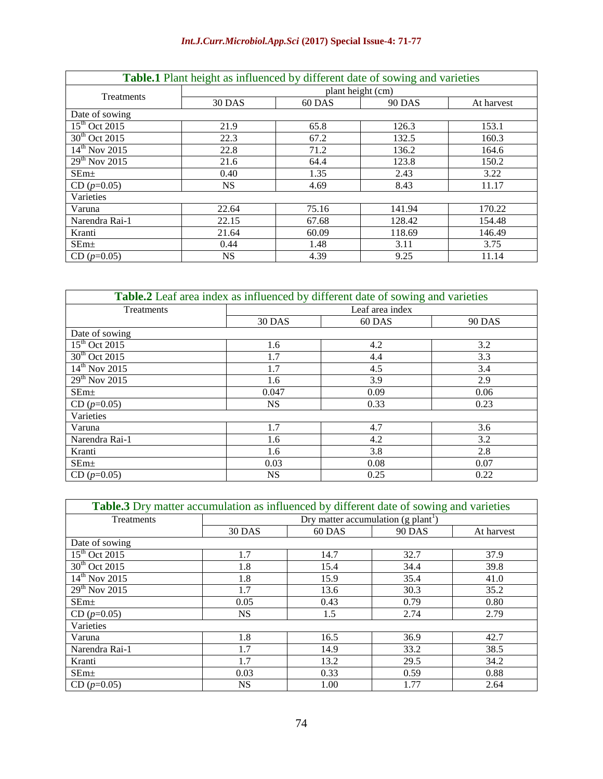### *Int.J.Curr.Microbiol.App.Sci* **(2017) Special Issue-4: 71-77**

| <b>Table.1</b> Plant height as influenced by different date of sowing and varieties |                   |        |               |            |
|-------------------------------------------------------------------------------------|-------------------|--------|---------------|------------|
| Treatments                                                                          | plant height (cm) |        |               |            |
|                                                                                     | 30 DAS            | 60 DAS | <b>90 DAS</b> | At harvest |
| Date of sowing                                                                      |                   |        |               |            |
| $15th$ Oct 2015                                                                     | 21.9              | 65.8   | 126.3         | 153.1      |
| $\overline{30^{th}$ Oct 2015                                                        | 22.3              | 67.2   | 132.5         | 160.3      |
| $14^{th}$ Nov 2015                                                                  | 22.8              | 71.2   | 136.2         | 164.6      |
| $29th$ Nov 2015                                                                     | 21.6              | 64.4   | 123.8         | 150.2      |
| $SEm\pm$                                                                            | 0.40              | 1.35   | 2.43          | 3.22       |
| $CD (p=0.05)$                                                                       | NS.               | 4.69   | 8.43          | 11.17      |
| Varieties                                                                           |                   |        |               |            |
| Varuna                                                                              | 22.64             | 75.16  | 141.94        | 170.22     |
| Narendra Rai-1                                                                      | 22.15             | 67.68  | 128.42        | 154.48     |
| Kranti                                                                              | 21.64             | 60.09  | 118.69        | 146.49     |
| SEm <sub>±</sub>                                                                    | 0.44              | 1.48   | 3.11          | 3.75       |
| $CD (p=0.05)$                                                                       | NS.               | 4.39   | 9.25          | 11.14      |

| <b>Table.2</b> Leaf area index as influenced by different date of sowing and varieties |                 |        |               |  |  |
|----------------------------------------------------------------------------------------|-----------------|--------|---------------|--|--|
| Treatments                                                                             | Leaf area index |        |               |  |  |
|                                                                                        | <b>30 DAS</b>   | 60 DAS | <b>90 DAS</b> |  |  |
| Date of sowing                                                                         |                 |        |               |  |  |
| $15th$ Oct 2015                                                                        | 1.6             | 4.2    | 3.2           |  |  |
| $30th$ Oct 2015                                                                        | 1.7             | 4.4    | 3.3           |  |  |
| $14th$ Nov 2015                                                                        | 1.7             | 4.5    | 3.4           |  |  |
| $29th$ Nov 2015                                                                        | 1.6             | 3.9    | 2.9           |  |  |
| SEm <sub>±</sub>                                                                       | 0.047           | 0.09   | 0.06          |  |  |
| $CD (p=0.05)$                                                                          | <b>NS</b>       | 0.33   | 0.23          |  |  |
| Varieties                                                                              |                 |        |               |  |  |
| Varuna                                                                                 | 1.7             | 4.7    | 3.6           |  |  |
| Narendra Rai-1                                                                         | 1.6             | 4.2    | 3.2           |  |  |
| Kranti                                                                                 | 1.6             | 3.8    | 2.8           |  |  |
| SEm <sub>±</sub>                                                                       | 0.03            | 0.08   | 0.07          |  |  |
| $CD (p=0.05)$                                                                          | <b>NS</b>       | 0.25   | 0.22          |  |  |

| <b>Table.3</b> Dry matter accumulation as influenced by different date of sowing and varieties |                                                 |        |               |            |
|------------------------------------------------------------------------------------------------|-------------------------------------------------|--------|---------------|------------|
| Treatments                                                                                     | Dry matter accumulation (g plant <sup>1</sup> ) |        |               |            |
|                                                                                                | <b>30 DAS</b>                                   | 60 DAS | <b>90 DAS</b> | At harvest |
| Date of sowing                                                                                 |                                                 |        |               |            |
| $15th$ Oct 2015                                                                                | 1.7                                             | 14.7   | 32.7          | 37.9       |
| $30th$ Oct 2015                                                                                | 1.8                                             | 15.4   | 34.4          | 39.8       |
| $14^{th}$ Nov 2015                                                                             | 1.8                                             | 15.9   | 35.4          | 41.0       |
| $29th$ Nov 2015                                                                                | 1.7                                             | 13.6   | 30.3          | 35.2       |
| SEm <sub>±</sub>                                                                               | 0.05                                            | 0.43   | 0.79          | 0.80       |
| $CD (p=0.05)$                                                                                  | <b>NS</b>                                       | 1.5    | 2.74          | 2.79       |
| Varieties                                                                                      |                                                 |        |               |            |
| Varuna                                                                                         | 1.8                                             | 16.5   | 36.9          | 42.7       |
| Narendra Rai-1                                                                                 | 1.7                                             | 14.9   | 33.2          | 38.5       |
| Kranti                                                                                         | 1.7                                             | 13.2   | 29.5          | 34.2       |
| $SEm\pm$                                                                                       | 0.03                                            | 0.33   | 0.59          | 0.88       |
| $CD (p=0.05)$                                                                                  | <b>NS</b>                                       | 1.00   | 1.77          | 2.64       |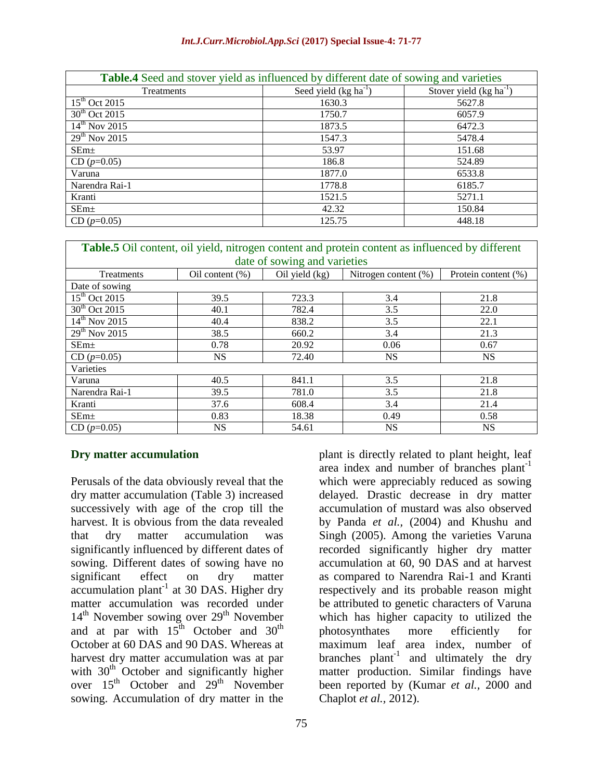#### *Int.J.Curr.Microbiol.App.Sci* **(2017) Special Issue-4: 71-77**

| <b>Table.4</b> Seed and stover yield as influenced by different date of sowing and varieties |                           |                             |  |  |
|----------------------------------------------------------------------------------------------|---------------------------|-----------------------------|--|--|
| Treatments                                                                                   | Seed yield $(kg ha^{-1})$ | Stover yield $(kg ha^{-1})$ |  |  |
| $15^{th}$ Oct 2015                                                                           | 1630.3                    | 5627.8                      |  |  |
| $30th$ Oct 2015                                                                              | 1750.7                    | 6057.9                      |  |  |
| $14^{\text{th}}$ Nov 2015                                                                    | 1873.5                    | 6472.3                      |  |  |
| $29th$ Nov 2015                                                                              | 1547.3                    | 5478.4                      |  |  |
| SEm <sub>±</sub>                                                                             | 53.97                     | 151.68                      |  |  |
| $CD (p=0.05)$                                                                                | 186.8                     | 524.89                      |  |  |
| Varuna                                                                                       | 1877.0                    | 6533.8                      |  |  |
| Narendra Rai-1                                                                               | 1778.8                    | 6185.7                      |  |  |
| Kranti                                                                                       | 1521.5                    | 5271.1                      |  |  |
| SEm <sub>±</sub>                                                                             | 42.32                     | 150.84                      |  |  |
| $CD (p=0.05)$                                                                                | 125.75                    | 448.18                      |  |  |

| Table.5 Oil content, oil yield, nitrogen content and protein content as influenced by different |                    |                  |                      |                     |  |
|-------------------------------------------------------------------------------------------------|--------------------|------------------|----------------------|---------------------|--|
| date of sowing and varieties                                                                    |                    |                  |                      |                     |  |
| Treatments                                                                                      | Oil content $(\%)$ | Oil yield $(kg)$ | Nitrogen content (%) | Protein content (%) |  |
| Date of sowing                                                                                  |                    |                  |                      |                     |  |
| $15th$ Oct 2015                                                                                 | 39.5               | 723.3            | 3.4                  | 21.8                |  |
| $\frac{1}{30^{th}$ Oct 2015                                                                     | 40.1               | 782.4            | 3.5                  | 22.0                |  |
| $\frac{14^{\text{th}}}{\text{No}}$ 2015                                                         | 40.4               | 838.2            | 3.5                  | 22.1                |  |
| $29th$ Nov 2015                                                                                 | 38.5               | 660.2            | 3.4                  | 21.3                |  |
| SEm <sub>±</sub>                                                                                | 0.78               | 20.92            | 0.06                 | 0.67                |  |
| $CD (p=0.05)$                                                                                   | NS.                | 72.40            | NS.                  | NS.                 |  |
| Varieties                                                                                       |                    |                  |                      |                     |  |
| Varuna                                                                                          | 40.5               | 841.1            | 3.5                  | 21.8                |  |
| Narendra Rai-1                                                                                  | 39.5               | 781.0            | 3.5                  | 21.8                |  |
| Kranti                                                                                          | 37.6               | 608.4            | 3.4                  | 21.4                |  |
| SEm <sub>±</sub>                                                                                | 0.83               | 18.38            | 0.49                 | 0.58                |  |
| $CD (p=0.05)$                                                                                   | NS.                | 54.61            | <b>NS</b>            | <b>NS</b>           |  |

#### **Dry matter accumulation**

Perusals of the data obviously reveal that the dry matter accumulation (Table 3) increased successively with age of the crop till the harvest. It is obvious from the data revealed that dry matter accumulation was significantly influenced by different dates of sowing. Different dates of sowing have no significant effect on dry matter accumulation plant $^{-1}$  at 30 DAS. Higher dry matter accumulation was recorded under 14<sup>th</sup> November sowing over 29<sup>th</sup> November and at par with  $15^{th}$  October and  $30^{th}$ October at 60 DAS and 90 DAS. Whereas at harvest dry matter accumulation was at par with  $30<sup>th</sup>$  October and significantly higher over  $15<sup>th</sup>$  October and  $29<sup>th</sup>$  November sowing. Accumulation of dry matter in the

area index and number of branches plant<sup>-1</sup> which were appreciably reduced as sowing delayed. Drastic decrease in dry matter accumulation of mustard was also observed by Panda *et al.,* (2004) and Khushu and Singh (2005). Among the varieties Varuna recorded significantly higher dry matter accumulation at 60, 90 DAS and at harvest as compared to Narendra Rai-1 and Kranti respectively and its probable reason might be attributed to genetic characters of Varuna which has higher capacity to utilized the photosynthates more efficiently for maximum leaf area index, number of branches  $plant^{-1}$  and ultimately the dry matter production. Similar findings have been reported by (Kumar *et al.,* 2000 and Chaplot *et al.,* 2012).

plant is directly related to plant height, leaf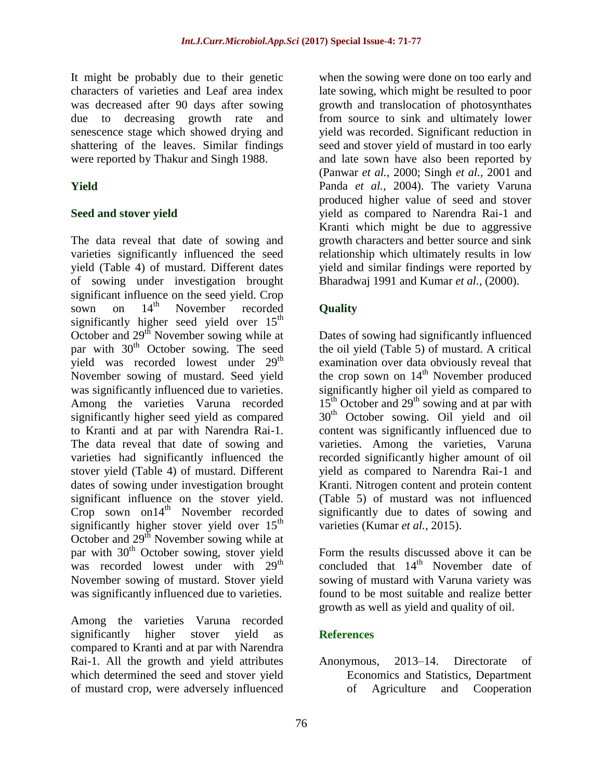It might be probably due to their genetic characters of varieties and Leaf area index was decreased after 90 days after sowing due to decreasing growth rate and senescence stage which showed drying and shattering of the leaves. Similar findings were reported by Thakur and Singh 1988.

## **Yield**

#### **Seed and stover yield**

The data reveal that date of sowing and varieties significantly influenced the seed yield (Table 4) of mustard. Different dates of sowing under investigation brought significant influence on the seed yield. Crop sown on  $14<sup>th</sup>$  November recorded significantly higher seed yield over  $15<sup>th</sup>$ October and 29<sup>th</sup> November sowing while at par with  $30<sup>th</sup>$  October sowing. The seed yield was recorded lowest under 29<sup>th</sup> November sowing of mustard. Seed yield was significantly influenced due to varieties. Among the varieties Varuna recorded significantly higher seed yield as compared to Kranti and at par with Narendra Rai-1. The data reveal that date of sowing and varieties had significantly influenced the stover yield (Table 4) of mustard. Different dates of sowing under investigation brought significant influence on the stover yield. Crop sown on $14<sup>th</sup>$  November recorded significantly higher stover yield over  $15<sup>th</sup>$ October and  $29<sup>th</sup>$  November sowing while at par with  $30<sup>th</sup>$  October sowing, stover yield was recorded lowest under with 29<sup>th</sup> November sowing of mustard. Stover yield was significantly influenced due to varieties.

Among the varieties Varuna recorded significantly higher stover yield as compared to Kranti and at par with Narendra Rai-1. All the growth and yield attributes which determined the seed and stover yield of mustard crop, were adversely influenced

when the sowing were done on too early and late sowing, which might be resulted to poor growth and translocation of photosynthates from source to sink and ultimately lower yield was recorded. Significant reduction in seed and stover yield of mustard in too early and late sown have also been reported by (Panwar *et al.,* 2000; Singh *et al.,* 2001 and Panda *et al.,* 2004). The variety Varuna produced higher value of seed and stover yield as compared to Narendra Rai-1 and Kranti which might be due to aggressive growth characters and better source and sink relationship which ultimately results in low yield and similar findings were reported by Bharadwaj 1991 and Kumar *et al.,* (2000).

## **Quality**

Dates of sowing had significantly influenced the oil yield (Table 5) of mustard. A critical examination over data obviously reveal that the crop sown on  $14<sup>th</sup>$  November produced significantly higher oil yield as compared to  $15<sup>th</sup>$  October and  $29<sup>th</sup>$  sowing and at par with 30<sup>th</sup> October sowing. Oil yield and oil content was significantly influenced due to varieties. Among the varieties, Varuna recorded significantly higher amount of oil yield as compared to Narendra Rai-1 and Kranti. Nitrogen content and protein content (Table 5) of mustard was not influenced significantly due to dates of sowing and varieties (Kumar *et al.,* 2015).

Form the results discussed above it can be concluded that 14<sup>th</sup> November date of sowing of mustard with Varuna variety was found to be most suitable and realize better growth as well as yield and quality of oil.

## **References**

Anonymous, 2013–14. Directorate of Economics and Statistics, Department of Agriculture and Cooperation